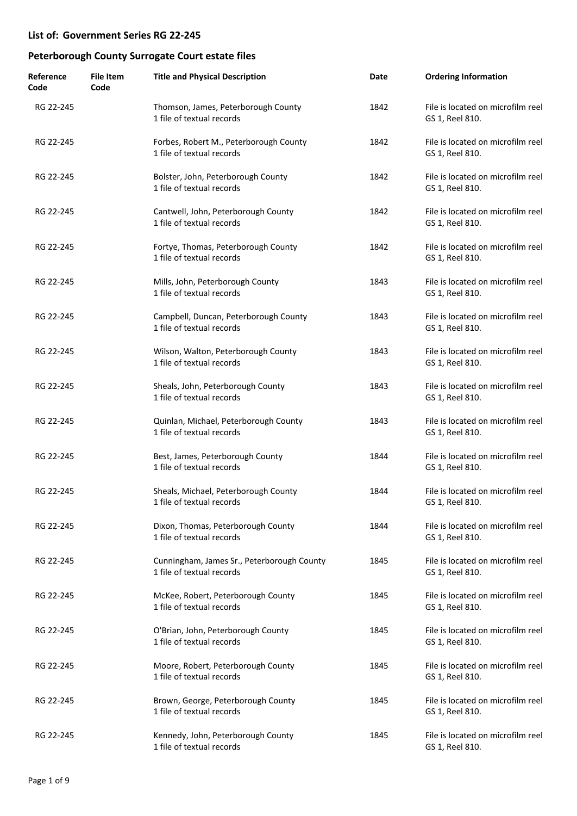| Reference<br>Code | <b>File Item</b><br>Code | <b>Title and Physical Description</b>                                   | Date | <b>Ordering Information</b>                          |
|-------------------|--------------------------|-------------------------------------------------------------------------|------|------------------------------------------------------|
| RG 22-245         |                          | Thomson, James, Peterborough County<br>1 file of textual records        | 1842 | File is located on microfilm reel<br>GS 1, Reel 810. |
| RG 22-245         |                          | Forbes, Robert M., Peterborough County<br>1 file of textual records     | 1842 | File is located on microfilm reel<br>GS 1, Reel 810. |
| RG 22-245         |                          | Bolster, John, Peterborough County<br>1 file of textual records         | 1842 | File is located on microfilm reel<br>GS 1, Reel 810. |
| RG 22-245         |                          | Cantwell, John, Peterborough County<br>1 file of textual records        | 1842 | File is located on microfilm reel<br>GS 1, Reel 810. |
| RG 22-245         |                          | Fortye, Thomas, Peterborough County<br>1 file of textual records        | 1842 | File is located on microfilm reel<br>GS 1, Reel 810. |
| RG 22-245         |                          | Mills, John, Peterborough County<br>1 file of textual records           | 1843 | File is located on microfilm reel<br>GS 1, Reel 810. |
| RG 22-245         |                          | Campbell, Duncan, Peterborough County<br>1 file of textual records      | 1843 | File is located on microfilm reel<br>GS 1, Reel 810. |
| RG 22-245         |                          | Wilson, Walton, Peterborough County<br>1 file of textual records        | 1843 | File is located on microfilm reel<br>GS 1, Reel 810. |
| RG 22-245         |                          | Sheals, John, Peterborough County<br>1 file of textual records          | 1843 | File is located on microfilm reel<br>GS 1, Reel 810. |
| RG 22-245         |                          | Quinlan, Michael, Peterborough County<br>1 file of textual records      | 1843 | File is located on microfilm reel<br>GS 1, Reel 810. |
| RG 22-245         |                          | Best, James, Peterborough County<br>1 file of textual records           | 1844 | File is located on microfilm reel<br>GS 1, Reel 810. |
| RG 22-245         |                          | Sheals, Michael, Peterborough County<br>1 file of textual records       | 1844 | File is located on microfilm reel<br>GS 1, Reel 810. |
| RG 22-245         |                          | Dixon, Thomas, Peterborough County<br>1 file of textual records         | 1844 | File is located on microfilm reel<br>GS 1, Reel 810. |
| RG 22-245         |                          | Cunningham, James Sr., Peterborough County<br>1 file of textual records | 1845 | File is located on microfilm reel<br>GS 1, Reel 810. |
| RG 22-245         |                          | McKee, Robert, Peterborough County<br>1 file of textual records         | 1845 | File is located on microfilm reel<br>GS 1, Reel 810. |
| RG 22-245         |                          | O'Brian, John, Peterborough County<br>1 file of textual records         | 1845 | File is located on microfilm reel<br>GS 1, Reel 810. |
| RG 22-245         |                          | Moore, Robert, Peterborough County<br>1 file of textual records         | 1845 | File is located on microfilm reel<br>GS 1, Reel 810. |
| RG 22-245         |                          | Brown, George, Peterborough County<br>1 file of textual records         | 1845 | File is located on microfilm reel<br>GS 1, Reel 810. |
| RG 22-245         |                          | Kennedy, John, Peterborough County<br>1 file of textual records         | 1845 | File is located on microfilm reel<br>GS 1, Reel 810. |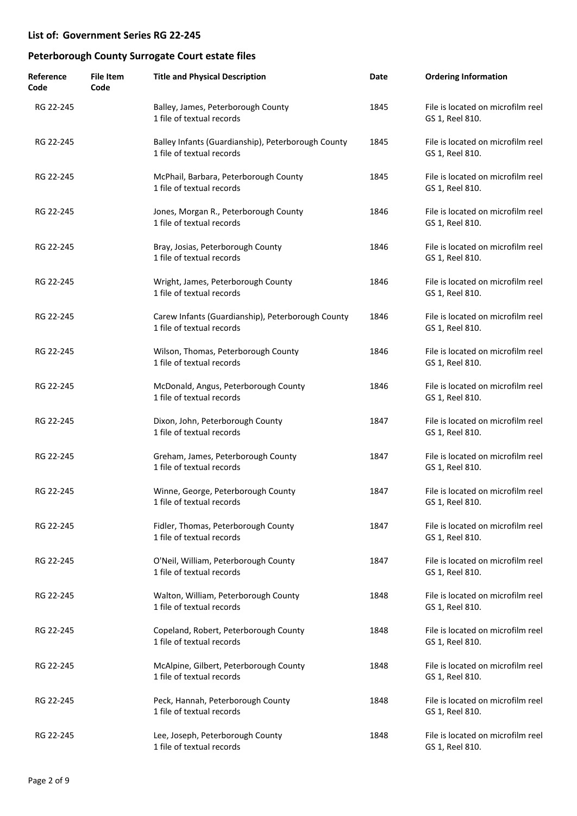| Reference<br>Code | <b>File Item</b><br>Code | <b>Title and Physical Description</b>                                           | Date | <b>Ordering Information</b>                          |
|-------------------|--------------------------|---------------------------------------------------------------------------------|------|------------------------------------------------------|
| RG 22-245         |                          | Balley, James, Peterborough County<br>1 file of textual records                 | 1845 | File is located on microfilm reel<br>GS 1, Reel 810. |
| RG 22-245         |                          | Balley Infants (Guardianship), Peterborough County<br>1 file of textual records | 1845 | File is located on microfilm reel<br>GS 1, Reel 810. |
| RG 22-245         |                          | McPhail, Barbara, Peterborough County<br>1 file of textual records              | 1845 | File is located on microfilm reel<br>GS 1, Reel 810. |
| RG 22-245         |                          | Jones, Morgan R., Peterborough County<br>1 file of textual records              | 1846 | File is located on microfilm reel<br>GS 1, Reel 810. |
| RG 22-245         |                          | Bray, Josias, Peterborough County<br>1 file of textual records                  | 1846 | File is located on microfilm reel<br>GS 1, Reel 810. |
| RG 22-245         |                          | Wright, James, Peterborough County<br>1 file of textual records                 | 1846 | File is located on microfilm reel<br>GS 1, Reel 810. |
| RG 22-245         |                          | Carew Infants (Guardianship), Peterborough County<br>1 file of textual records  | 1846 | File is located on microfilm reel<br>GS 1, Reel 810. |
| RG 22-245         |                          | Wilson, Thomas, Peterborough County<br>1 file of textual records                | 1846 | File is located on microfilm reel<br>GS 1, Reel 810. |
| RG 22-245         |                          | McDonald, Angus, Peterborough County<br>1 file of textual records               | 1846 | File is located on microfilm reel<br>GS 1, Reel 810. |
| RG 22-245         |                          | Dixon, John, Peterborough County<br>1 file of textual records                   | 1847 | File is located on microfilm reel<br>GS 1, Reel 810. |
| RG 22-245         |                          | Greham, James, Peterborough County<br>1 file of textual records                 | 1847 | File is located on microfilm reel<br>GS 1, Reel 810. |
| RG 22-245         |                          | Winne, George, Peterborough County<br>1 file of textual records                 | 1847 | File is located on microfilm reel<br>GS 1, Reel 810. |
| RG 22-245         |                          | Fidler, Thomas, Peterborough County<br>1 file of textual records                | 1847 | File is located on microfilm reel<br>GS 1, Reel 810. |
| RG 22-245         |                          | O'Neil, William, Peterborough County<br>1 file of textual records               | 1847 | File is located on microfilm reel<br>GS 1, Reel 810. |
| RG 22-245         |                          | Walton, William, Peterborough County<br>1 file of textual records               | 1848 | File is located on microfilm reel<br>GS 1, Reel 810. |
| RG 22-245         |                          | Copeland, Robert, Peterborough County<br>1 file of textual records              | 1848 | File is located on microfilm reel<br>GS 1, Reel 810. |
| RG 22-245         |                          | McAlpine, Gilbert, Peterborough County<br>1 file of textual records             | 1848 | File is located on microfilm reel<br>GS 1, Reel 810. |
| RG 22-245         |                          | Peck, Hannah, Peterborough County<br>1 file of textual records                  | 1848 | File is located on microfilm reel<br>GS 1, Reel 810. |
| RG 22-245         |                          | Lee, Joseph, Peterborough County<br>1 file of textual records                   | 1848 | File is located on microfilm reel<br>GS 1, Reel 810. |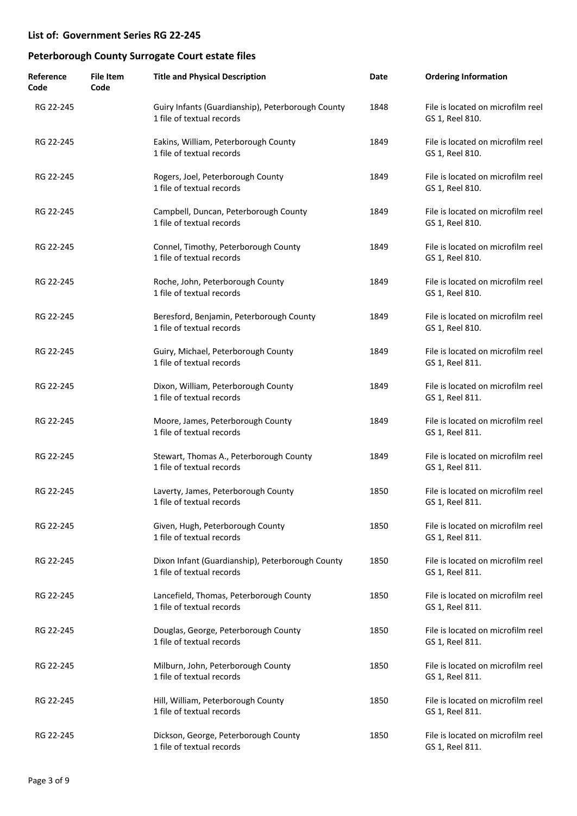| Reference<br>Code | <b>File Item</b><br>Code | <b>Title and Physical Description</b>                                          | Date | <b>Ordering Information</b>                          |
|-------------------|--------------------------|--------------------------------------------------------------------------------|------|------------------------------------------------------|
| RG 22-245         |                          | Guiry Infants (Guardianship), Peterborough County<br>1 file of textual records | 1848 | File is located on microfilm reel<br>GS 1, Reel 810. |
| RG 22-245         |                          | Eakins, William, Peterborough County<br>1 file of textual records              | 1849 | File is located on microfilm reel<br>GS 1, Reel 810. |
| RG 22-245         |                          | Rogers, Joel, Peterborough County<br>1 file of textual records                 | 1849 | File is located on microfilm reel<br>GS 1, Reel 810. |
| RG 22-245         |                          | Campbell, Duncan, Peterborough County<br>1 file of textual records             | 1849 | File is located on microfilm reel<br>GS 1, Reel 810. |
| RG 22-245         |                          | Connel, Timothy, Peterborough County<br>1 file of textual records              | 1849 | File is located on microfilm reel<br>GS 1, Reel 810. |
| RG 22-245         |                          | Roche, John, Peterborough County<br>1 file of textual records                  | 1849 | File is located on microfilm reel<br>GS 1, Reel 810. |
| RG 22-245         |                          | Beresford, Benjamin, Peterborough County<br>1 file of textual records          | 1849 | File is located on microfilm reel<br>GS 1, Reel 810. |
| RG 22-245         |                          | Guiry, Michael, Peterborough County<br>1 file of textual records               | 1849 | File is located on microfilm reel<br>GS 1, Reel 811. |
| RG 22-245         |                          | Dixon, William, Peterborough County<br>1 file of textual records               | 1849 | File is located on microfilm reel<br>GS 1, Reel 811. |
| RG 22-245         |                          | Moore, James, Peterborough County<br>1 file of textual records                 | 1849 | File is located on microfilm reel<br>GS 1, Reel 811. |
| RG 22-245         |                          | Stewart, Thomas A., Peterborough County<br>1 file of textual records           | 1849 | File is located on microfilm reel<br>GS 1, Reel 811. |
| RG 22-245         |                          | Laverty, James, Peterborough County<br>1 file of textual records               | 1850 | File is located on microfilm reel<br>GS 1, Reel 811. |
| RG 22-245         |                          | Given, Hugh, Peterborough County<br>1 file of textual records                  | 1850 | File is located on microfilm reel<br>GS 1, Reel 811. |
| RG 22-245         |                          | Dixon Infant (Guardianship), Peterborough County<br>1 file of textual records  | 1850 | File is located on microfilm reel<br>GS 1, Reel 811. |
| RG 22-245         |                          | Lancefield, Thomas, Peterborough County<br>1 file of textual records           | 1850 | File is located on microfilm reel<br>GS 1, Reel 811. |
| RG 22-245         |                          | Douglas, George, Peterborough County<br>1 file of textual records              | 1850 | File is located on microfilm reel<br>GS 1, Reel 811. |
| RG 22-245         |                          | Milburn, John, Peterborough County<br>1 file of textual records                | 1850 | File is located on microfilm reel<br>GS 1, Reel 811. |
| RG 22-245         |                          | Hill, William, Peterborough County<br>1 file of textual records                | 1850 | File is located on microfilm reel<br>GS 1, Reel 811. |
| RG 22-245         |                          | Dickson, George, Peterborough County<br>1 file of textual records              | 1850 | File is located on microfilm reel<br>GS 1, Reel 811. |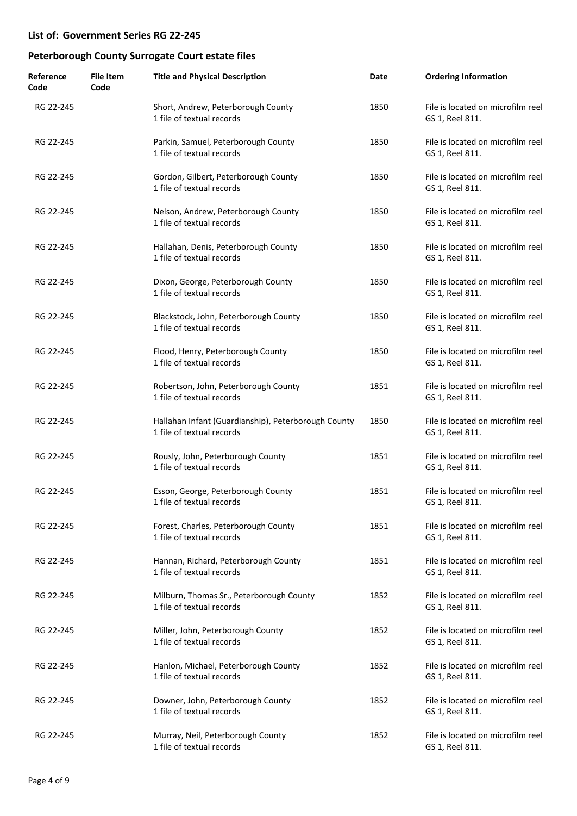| Reference<br>Code | <b>File Item</b><br>Code | <b>Title and Physical Description</b>                                            | Date | <b>Ordering Information</b>                          |
|-------------------|--------------------------|----------------------------------------------------------------------------------|------|------------------------------------------------------|
| RG 22-245         |                          | Short, Andrew, Peterborough County<br>1 file of textual records                  | 1850 | File is located on microfilm reel<br>GS 1, Reel 811. |
| RG 22-245         |                          | Parkin, Samuel, Peterborough County<br>1 file of textual records                 | 1850 | File is located on microfilm reel<br>GS 1, Reel 811. |
| RG 22-245         |                          | Gordon, Gilbert, Peterborough County<br>1 file of textual records                | 1850 | File is located on microfilm reel<br>GS 1, Reel 811. |
| RG 22-245         |                          | Nelson, Andrew, Peterborough County<br>1 file of textual records                 | 1850 | File is located on microfilm reel<br>GS 1, Reel 811. |
| RG 22-245         |                          | Hallahan, Denis, Peterborough County<br>1 file of textual records                | 1850 | File is located on microfilm reel<br>GS 1, Reel 811. |
| RG 22-245         |                          | Dixon, George, Peterborough County<br>1 file of textual records                  | 1850 | File is located on microfilm reel<br>GS 1, Reel 811. |
| RG 22-245         |                          | Blackstock, John, Peterborough County<br>1 file of textual records               | 1850 | File is located on microfilm reel<br>GS 1, Reel 811. |
| RG 22-245         |                          | Flood, Henry, Peterborough County<br>1 file of textual records                   | 1850 | File is located on microfilm reel<br>GS 1, Reel 811. |
| RG 22-245         |                          | Robertson, John, Peterborough County<br>1 file of textual records                | 1851 | File is located on microfilm reel<br>GS 1, Reel 811. |
| RG 22-245         |                          | Hallahan Infant (Guardianship), Peterborough County<br>1 file of textual records | 1850 | File is located on microfilm reel<br>GS 1, Reel 811. |
| RG 22-245         |                          | Rously, John, Peterborough County<br>1 file of textual records                   | 1851 | File is located on microfilm reel<br>GS 1, Reel 811. |
| RG 22-245         |                          | Esson, George, Peterborough County<br>1 file of textual records                  | 1851 | File is located on microfilm reel<br>GS 1, Reel 811. |
| RG 22-245         |                          | Forest, Charles, Peterborough County<br>1 file of textual records                | 1851 | File is located on microfilm reel<br>GS 1, Reel 811. |
| RG 22-245         |                          | Hannan, Richard, Peterborough County<br>1 file of textual records                | 1851 | File is located on microfilm reel<br>GS 1, Reel 811. |
| RG 22-245         |                          | Milburn, Thomas Sr., Peterborough County<br>1 file of textual records            | 1852 | File is located on microfilm reel<br>GS 1, Reel 811. |
| RG 22-245         |                          | Miller, John, Peterborough County<br>1 file of textual records                   | 1852 | File is located on microfilm reel<br>GS 1, Reel 811. |
| RG 22-245         |                          | Hanlon, Michael, Peterborough County<br>1 file of textual records                | 1852 | File is located on microfilm reel<br>GS 1, Reel 811. |
| RG 22-245         |                          | Downer, John, Peterborough County<br>1 file of textual records                   | 1852 | File is located on microfilm reel<br>GS 1, Reel 811. |
| RG 22-245         |                          | Murray, Neil, Peterborough County<br>1 file of textual records                   | 1852 | File is located on microfilm reel<br>GS 1, Reel 811. |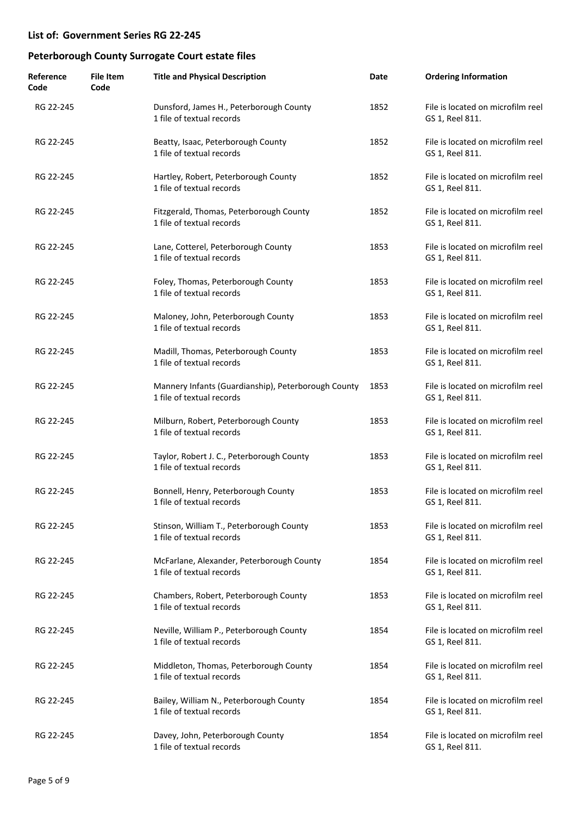| Reference<br>Code | <b>File Item</b><br>Code | <b>Title and Physical Description</b>                                            | Date | <b>Ordering Information</b>                          |
|-------------------|--------------------------|----------------------------------------------------------------------------------|------|------------------------------------------------------|
| RG 22-245         |                          | Dunsford, James H., Peterborough County<br>1 file of textual records             | 1852 | File is located on microfilm reel<br>GS 1, Reel 811. |
| RG 22-245         |                          | Beatty, Isaac, Peterborough County<br>1 file of textual records                  | 1852 | File is located on microfilm reel<br>GS 1, Reel 811. |
| RG 22-245         |                          | Hartley, Robert, Peterborough County<br>1 file of textual records                | 1852 | File is located on microfilm reel<br>GS 1, Reel 811. |
| RG 22-245         |                          | Fitzgerald, Thomas, Peterborough County<br>1 file of textual records             | 1852 | File is located on microfilm reel<br>GS 1, Reel 811. |
| RG 22-245         |                          | Lane, Cotterel, Peterborough County<br>1 file of textual records                 | 1853 | File is located on microfilm reel<br>GS 1, Reel 811. |
| RG 22-245         |                          | Foley, Thomas, Peterborough County<br>1 file of textual records                  | 1853 | File is located on microfilm reel<br>GS 1, Reel 811. |
| RG 22-245         |                          | Maloney, John, Peterborough County<br>1 file of textual records                  | 1853 | File is located on microfilm reel<br>GS 1, Reel 811. |
| RG 22-245         |                          | Madill, Thomas, Peterborough County<br>1 file of textual records                 | 1853 | File is located on microfilm reel<br>GS 1, Reel 811. |
| RG 22-245         |                          | Mannery Infants (Guardianship), Peterborough County<br>1 file of textual records | 1853 | File is located on microfilm reel<br>GS 1, Reel 811. |
| RG 22-245         |                          | Milburn, Robert, Peterborough County<br>1 file of textual records                | 1853 | File is located on microfilm reel<br>GS 1, Reel 811. |
| RG 22-245         |                          | Taylor, Robert J. C., Peterborough County<br>1 file of textual records           | 1853 | File is located on microfilm reel<br>GS 1, Reel 811. |
| RG 22-245         |                          | Bonnell, Henry, Peterborough County<br>1 file of textual records                 | 1853 | File is located on microfilm reel<br>GS 1, Reel 811. |
| RG 22-245         |                          | Stinson, William T., Peterborough County<br>1 file of textual records            | 1853 | File is located on microfilm reel<br>GS 1, Reel 811. |
| RG 22-245         |                          | McFarlane, Alexander, Peterborough County<br>1 file of textual records           | 1854 | File is located on microfilm reel<br>GS 1, Reel 811. |
| RG 22-245         |                          | Chambers, Robert, Peterborough County<br>1 file of textual records               | 1853 | File is located on microfilm reel<br>GS 1, Reel 811. |
| RG 22-245         |                          | Neville, William P., Peterborough County<br>1 file of textual records            | 1854 | File is located on microfilm reel<br>GS 1, Reel 811. |
| RG 22-245         |                          | Middleton, Thomas, Peterborough County<br>1 file of textual records              | 1854 | File is located on microfilm reel<br>GS 1, Reel 811. |
| RG 22-245         |                          | Bailey, William N., Peterborough County<br>1 file of textual records             | 1854 | File is located on microfilm reel<br>GS 1, Reel 811. |
| RG 22-245         |                          | Davey, John, Peterborough County<br>1 file of textual records                    | 1854 | File is located on microfilm reel<br>GS 1, Reel 811. |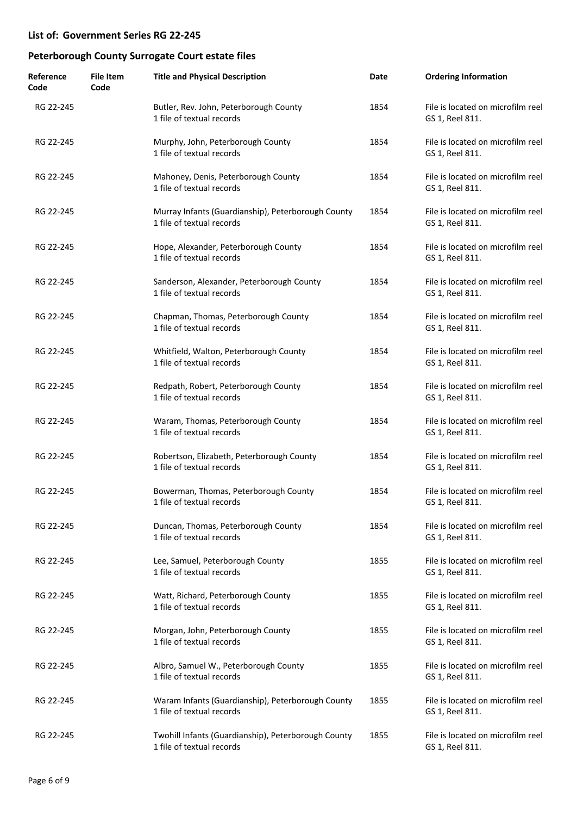| Reference<br>Code | <b>File Item</b><br>Code | <b>Title and Physical Description</b>                                            | Date | <b>Ordering Information</b>                          |
|-------------------|--------------------------|----------------------------------------------------------------------------------|------|------------------------------------------------------|
| RG 22-245         |                          | Butler, Rev. John, Peterborough County<br>1 file of textual records              | 1854 | File is located on microfilm reel<br>GS 1, Reel 811. |
| RG 22-245         |                          | Murphy, John, Peterborough County<br>1 file of textual records                   | 1854 | File is located on microfilm reel<br>GS 1, Reel 811. |
| RG 22-245         |                          | Mahoney, Denis, Peterborough County<br>1 file of textual records                 | 1854 | File is located on microfilm reel<br>GS 1, Reel 811. |
| RG 22-245         |                          | Murray Infants (Guardianship), Peterborough County<br>1 file of textual records  | 1854 | File is located on microfilm reel<br>GS 1, Reel 811. |
| RG 22-245         |                          | Hope, Alexander, Peterborough County<br>1 file of textual records                | 1854 | File is located on microfilm reel<br>GS 1, Reel 811. |
| RG 22-245         |                          | Sanderson, Alexander, Peterborough County<br>1 file of textual records           | 1854 | File is located on microfilm reel<br>GS 1, Reel 811. |
| RG 22-245         |                          | Chapman, Thomas, Peterborough County<br>1 file of textual records                | 1854 | File is located on microfilm reel<br>GS 1, Reel 811. |
| RG 22-245         |                          | Whitfield, Walton, Peterborough County<br>1 file of textual records              | 1854 | File is located on microfilm reel<br>GS 1, Reel 811. |
| RG 22-245         |                          | Redpath, Robert, Peterborough County<br>1 file of textual records                | 1854 | File is located on microfilm reel<br>GS 1, Reel 811. |
| RG 22-245         |                          | Waram, Thomas, Peterborough County<br>1 file of textual records                  | 1854 | File is located on microfilm reel<br>GS 1, Reel 811. |
| RG 22-245         |                          | Robertson, Elizabeth, Peterborough County<br>1 file of textual records           | 1854 | File is located on microfilm reel<br>GS 1, Reel 811. |
| RG 22-245         |                          | Bowerman, Thomas, Peterborough County<br>1 file of textual records               | 1854 | File is located on microfilm reel<br>GS 1, Reel 811. |
| RG 22-245         |                          | Duncan, Thomas, Peterborough County<br>1 file of textual records                 | 1854 | File is located on microfilm reel<br>GS 1, Reel 811. |
| RG 22-245         |                          | Lee, Samuel, Peterborough County<br>1 file of textual records                    | 1855 | File is located on microfilm reel<br>GS 1, Reel 811. |
| RG 22-245         |                          | Watt, Richard, Peterborough County<br>1 file of textual records                  | 1855 | File is located on microfilm reel<br>GS 1, Reel 811. |
| RG 22-245         |                          | Morgan, John, Peterborough County<br>1 file of textual records                   | 1855 | File is located on microfilm reel<br>GS 1, Reel 811. |
| RG 22-245         |                          | Albro, Samuel W., Peterborough County<br>1 file of textual records               | 1855 | File is located on microfilm reel<br>GS 1, Reel 811. |
| RG 22-245         |                          | Waram Infants (Guardianship), Peterborough County<br>1 file of textual records   | 1855 | File is located on microfilm reel<br>GS 1, Reel 811. |
| RG 22-245         |                          | Twohill Infants (Guardianship), Peterborough County<br>1 file of textual records | 1855 | File is located on microfilm reel<br>GS 1, Reel 811. |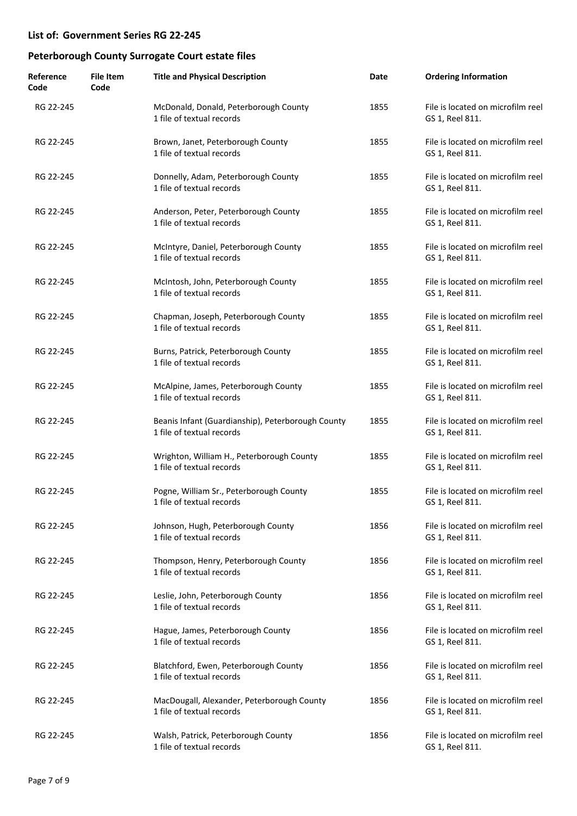| Reference<br>Code | <b>File Item</b><br>Code | <b>Title and Physical Description</b>                                          | Date | <b>Ordering Information</b>                          |
|-------------------|--------------------------|--------------------------------------------------------------------------------|------|------------------------------------------------------|
| RG 22-245         |                          | McDonald, Donald, Peterborough County<br>1 file of textual records             | 1855 | File is located on microfilm reel<br>GS 1, Reel 811. |
| RG 22-245         |                          | Brown, Janet, Peterborough County<br>1 file of textual records                 | 1855 | File is located on microfilm reel<br>GS 1, Reel 811. |
| RG 22-245         |                          | Donnelly, Adam, Peterborough County<br>1 file of textual records               | 1855 | File is located on microfilm reel<br>GS 1, Reel 811. |
| RG 22-245         |                          | Anderson, Peter, Peterborough County<br>1 file of textual records              | 1855 | File is located on microfilm reel<br>GS 1, Reel 811. |
| RG 22-245         |                          | McIntyre, Daniel, Peterborough County<br>1 file of textual records             | 1855 | File is located on microfilm reel<br>GS 1, Reel 811. |
| RG 22-245         |                          | McIntosh, John, Peterborough County<br>1 file of textual records               | 1855 | File is located on microfilm reel<br>GS 1, Reel 811. |
| RG 22-245         |                          | Chapman, Joseph, Peterborough County<br>1 file of textual records              | 1855 | File is located on microfilm reel<br>GS 1, Reel 811. |
| RG 22-245         |                          | Burns, Patrick, Peterborough County<br>1 file of textual records               | 1855 | File is located on microfilm reel<br>GS 1, Reel 811. |
| RG 22-245         |                          | McAlpine, James, Peterborough County<br>1 file of textual records              | 1855 | File is located on microfilm reel<br>GS 1, Reel 811. |
| RG 22-245         |                          | Beanis Infant (Guardianship), Peterborough County<br>1 file of textual records | 1855 | File is located on microfilm reel<br>GS 1, Reel 811. |
| RG 22-245         |                          | Wrighton, William H., Peterborough County<br>1 file of textual records         | 1855 | File is located on microfilm reel<br>GS 1, Reel 811. |
| RG 22-245         |                          | Pogne, William Sr., Peterborough County<br>1 file of textual records           | 1855 | File is located on microfilm reel<br>GS 1, Reel 811. |
| RG 22-245         |                          | Johnson, Hugh, Peterborough County<br>1 file of textual records                | 1856 | File is located on microfilm reel<br>GS 1, Reel 811. |
| RG 22-245         |                          | Thompson, Henry, Peterborough County<br>1 file of textual records              | 1856 | File is located on microfilm reel<br>GS 1, Reel 811. |
| RG 22-245         |                          | Leslie, John, Peterborough County<br>1 file of textual records                 | 1856 | File is located on microfilm reel<br>GS 1, Reel 811. |
| RG 22-245         |                          | Hague, James, Peterborough County<br>1 file of textual records                 | 1856 | File is located on microfilm reel<br>GS 1, Reel 811. |
| RG 22-245         |                          | Blatchford, Ewen, Peterborough County<br>1 file of textual records             | 1856 | File is located on microfilm reel<br>GS 1, Reel 811. |
| RG 22-245         |                          | MacDougall, Alexander, Peterborough County<br>1 file of textual records        | 1856 | File is located on microfilm reel<br>GS 1, Reel 811. |
| RG 22-245         |                          | Walsh, Patrick, Peterborough County<br>1 file of textual records               | 1856 | File is located on microfilm reel<br>GS 1, Reel 811. |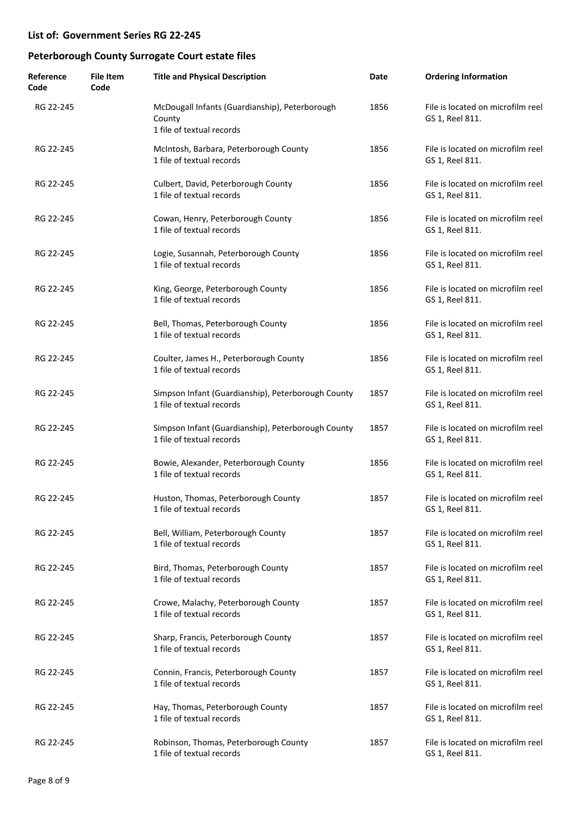| Reference<br>Code | File Item<br>Code | <b>Title and Physical Description</b>                                                 | Date | <b>Ordering Information</b>                          |
|-------------------|-------------------|---------------------------------------------------------------------------------------|------|------------------------------------------------------|
| RG 22-245         |                   | McDougall Infants (Guardianship), Peterborough<br>County<br>1 file of textual records | 1856 | File is located on microfilm reel<br>GS 1, Reel 811. |
| RG 22-245         |                   | McIntosh, Barbara, Peterborough County<br>1 file of textual records                   | 1856 | File is located on microfilm reel<br>GS 1, Reel 811. |
| RG 22-245         |                   | Culbert, David, Peterborough County<br>1 file of textual records                      | 1856 | File is located on microfilm reel<br>GS 1, Reel 811. |
| RG 22-245         |                   | Cowan, Henry, Peterborough County<br>1 file of textual records                        | 1856 | File is located on microfilm reel<br>GS 1, Reel 811. |
| RG 22-245         |                   | Logie, Susannah, Peterborough County<br>1 file of textual records                     | 1856 | File is located on microfilm reel<br>GS 1, Reel 811. |
| RG 22-245         |                   | King, George, Peterborough County<br>1 file of textual records                        | 1856 | File is located on microfilm reel<br>GS 1, Reel 811. |
| RG 22-245         |                   | Bell, Thomas, Peterborough County<br>1 file of textual records                        | 1856 | File is located on microfilm reel<br>GS 1, Reel 811. |
| RG 22-245         |                   | Coulter, James H., Peterborough County<br>1 file of textual records                   | 1856 | File is located on microfilm reel<br>GS 1, Reel 811. |
| RG 22-245         |                   | Simpson Infant (Guardianship), Peterborough County<br>1 file of textual records       | 1857 | File is located on microfilm reel<br>GS 1, Reel 811. |
| RG 22-245         |                   | Simpson Infant (Guardianship), Peterborough County<br>1 file of textual records       | 1857 | File is located on microfilm reel<br>GS 1, Reel 811. |
| RG 22-245         |                   | Bowie, Alexander, Peterborough County<br>1 file of textual records                    | 1856 | File is located on microfilm reel<br>GS 1, Reel 811. |
| RG 22-245         |                   | Huston, Thomas, Peterborough County<br>1 file of textual records                      | 1857 | File is located on microfilm reel<br>GS 1, Reel 811. |
| RG 22-245         |                   | Bell, William, Peterborough County<br>1 file of textual records                       | 1857 | File is located on microfilm reel<br>GS 1, Reel 811. |
| RG 22-245         |                   | Bird, Thomas, Peterborough County<br>1 file of textual records                        | 1857 | File is located on microfilm reel<br>GS 1, Reel 811. |
| RG 22-245         |                   | Crowe, Malachy, Peterborough County<br>1 file of textual records                      | 1857 | File is located on microfilm reel<br>GS 1, Reel 811. |
| RG 22-245         |                   | Sharp, Francis, Peterborough County<br>1 file of textual records                      | 1857 | File is located on microfilm reel<br>GS 1, Reel 811. |
| RG 22-245         |                   | Connin, Francis, Peterborough County<br>1 file of textual records                     | 1857 | File is located on microfilm reel<br>GS 1, Reel 811. |
| RG 22-245         |                   | Hay, Thomas, Peterborough County<br>1 file of textual records                         | 1857 | File is located on microfilm reel<br>GS 1, Reel 811. |
| RG 22-245         |                   | Robinson, Thomas, Peterborough County<br>1 file of textual records                    | 1857 | File is located on microfilm reel<br>GS 1, Reel 811. |